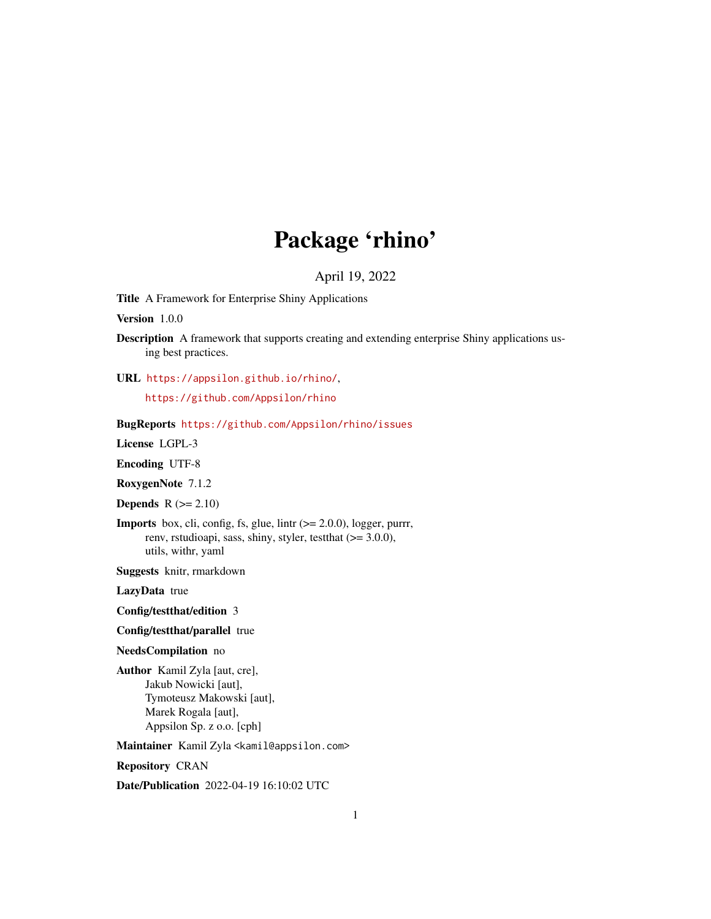## Package 'rhino'

#### April 19, 2022

Title A Framework for Enterprise Shiny Applications

Version 1.0.0

Description A framework that supports creating and extending enterprise Shiny applications using best practices.

URL <https://appsilon.github.io/rhino/>,

<https://github.com/Appsilon/rhino>

#### BugReports <https://github.com/Appsilon/rhino/issues>

License LGPL-3

Encoding UTF-8

RoxygenNote 7.1.2

**Depends**  $R$  ( $>= 2.10$ )

**Imports** box, cli, config, fs, glue, lintr  $(>= 2.0.0)$ , logger, purrr, renv, rstudioapi, sass, shiny, styler, testthat (>= 3.0.0), utils, withr, yaml

Suggests knitr, rmarkdown

LazyData true

Config/testthat/edition 3

Config/testthat/parallel true

NeedsCompilation no

Author Kamil Zyla [aut, cre], Jakub Nowicki [aut], Tymoteusz Makowski [aut], Marek Rogala [aut], Appsilon Sp. z o.o. [cph]

Maintainer Kamil Zyla <kamil@appsilon.com>

Repository CRAN

Date/Publication 2022-04-19 16:10:02 UTC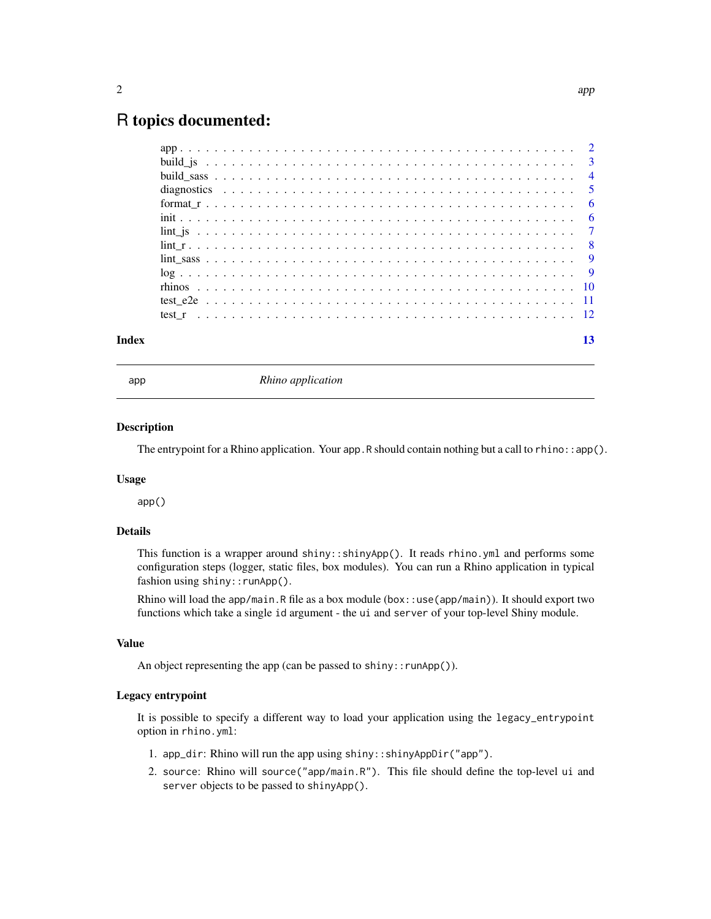### <span id="page-1-0"></span>R topics documented:

| Index |  |  |  |  |  |  |  |  |  |  |  |  |  |  |  |  |  |  |  |  | 13 |
|-------|--|--|--|--|--|--|--|--|--|--|--|--|--|--|--|--|--|--|--|--|----|

app *Rhino application*

#### Description

The entrypoint for a Rhino application. Your app. R should contain nothing but a call to rhino:: $ap($ ).

#### Usage

app()

#### Details

This function is a wrapper around shiny: : shinyApp(). It reads rhino.yml and performs some configuration steps (logger, static files, box modules). You can run a Rhino application in typical fashion using shiny:: runApp().

Rhino will load the app/main.R file as a box module (box::use(app/main)). It should export two functions which take a single id argument - the ui and server of your top-level Shiny module.

#### Value

An object representing the app (can be passed to shiny::runApp()).

#### Legacy entrypoint

It is possible to specify a different way to load your application using the legacy\_entrypoint option in rhino.yml:

- 1. app\_dir: Rhino will run the app using shiny::shinyAppDir("app").
- 2. source: Rhino will source("app/main.R"). This file should define the top-level ui and server objects to be passed to shinyApp().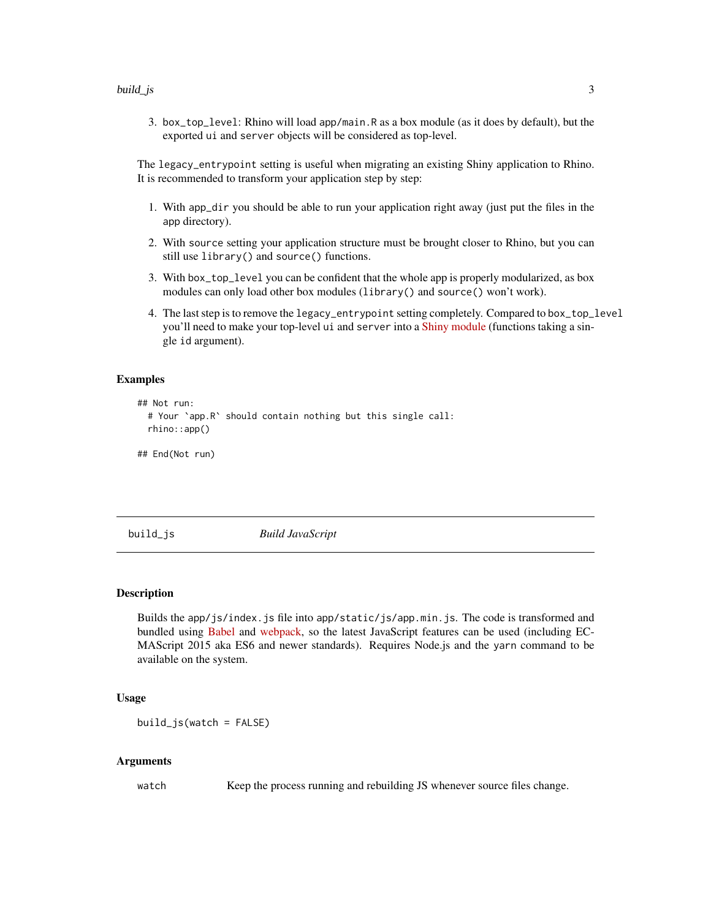<span id="page-2-0"></span>3. box\_top\_level: Rhino will load app/main.R as a box module (as it does by default), but the exported ui and server objects will be considered as top-level.

The legacy\_entrypoint setting is useful when migrating an existing Shiny application to Rhino. It is recommended to transform your application step by step:

- 1. With app\_dir you should be able to run your application right away (just put the files in the app directory).
- 2. With source setting your application structure must be brought closer to Rhino, but you can still use library() and source() functions.
- 3. With box\_top\_level you can be confident that the whole app is properly modularized, as box modules can only load other box modules (library() and source() won't work).
- 4. The last step is to remove the legacy\_entrypoint setting completely. Compared to box\_top\_level you'll need to make your top-level ui and server into a [Shiny module](https://shiny.rstudio.com/articles/modules.html) (functions taking a single id argument).

#### Examples

```
## Not run:
 # Your `app.R` should contain nothing but this single call:
 rhino::app()
```
## End(Not run)

build\_js *Build JavaScript*

#### Description

Builds the app/js/index.js file into app/static/js/app.min.js. The code is transformed and bundled using [Babel](https://babeljs.io) and [webpack,](https://webpack.js.org) so the latest JavaScript features can be used (including EC-MAScript 2015 aka ES6 and newer standards). Requires Node.js and the yarn command to be available on the system.

#### Usage

 $build_js(watch = FALSE)$ 

#### Arguments

watch Keep the process running and rebuilding JS whenever source files change.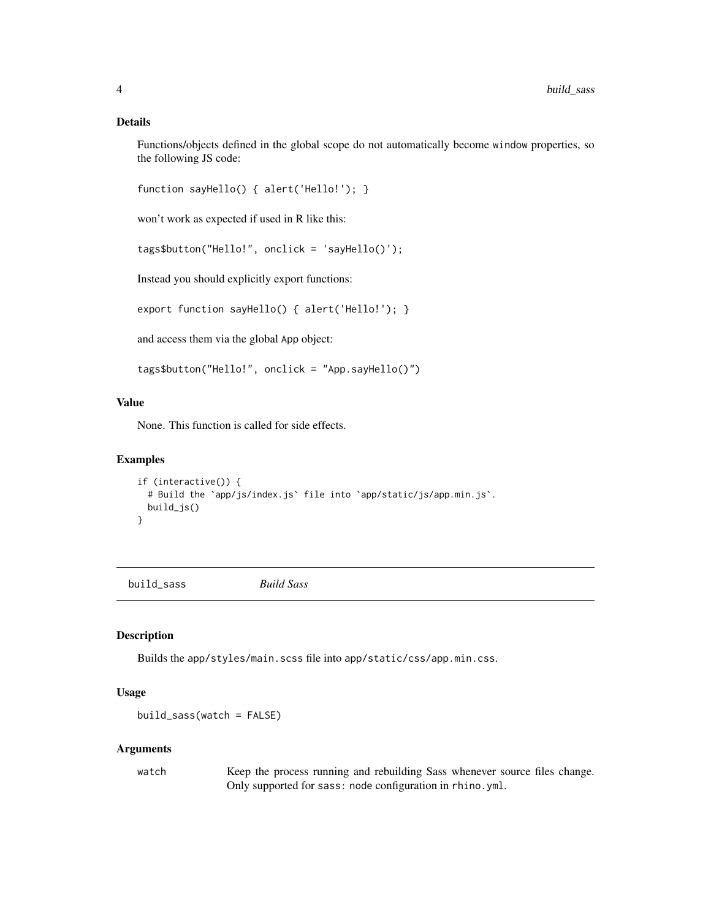#### <span id="page-3-0"></span>Details

Functions/objects defined in the global scope do not automatically become window properties, so the following JS code:

```
function sayHello() { alert('Hello!'); }
```
won't work as expected if used in R like this:

```
tags$button("Hello!", onclick = 'sayHello()');
```
Instead you should explicitly export functions:

export function sayHello() { alert('Hello!'); }

and access them via the global App object:

tags\$button("Hello!", onclick = "App.sayHello()")

#### Value

None. This function is called for side effects.

#### Examples

```
if (interactive()) {
 # Build the `app/js/index.js` file into `app/static/js/app.min.js`.
 build_js()
}
```
build\_sass *Build Sass*

#### Description

Builds the app/styles/main.scss file into app/static/css/app.min.css.

#### Usage

build\_sass(watch = FALSE)

#### Arguments

watch Keep the process running and rebuilding Sass whenever source files change. Only supported for sass: node configuration in rhino.yml.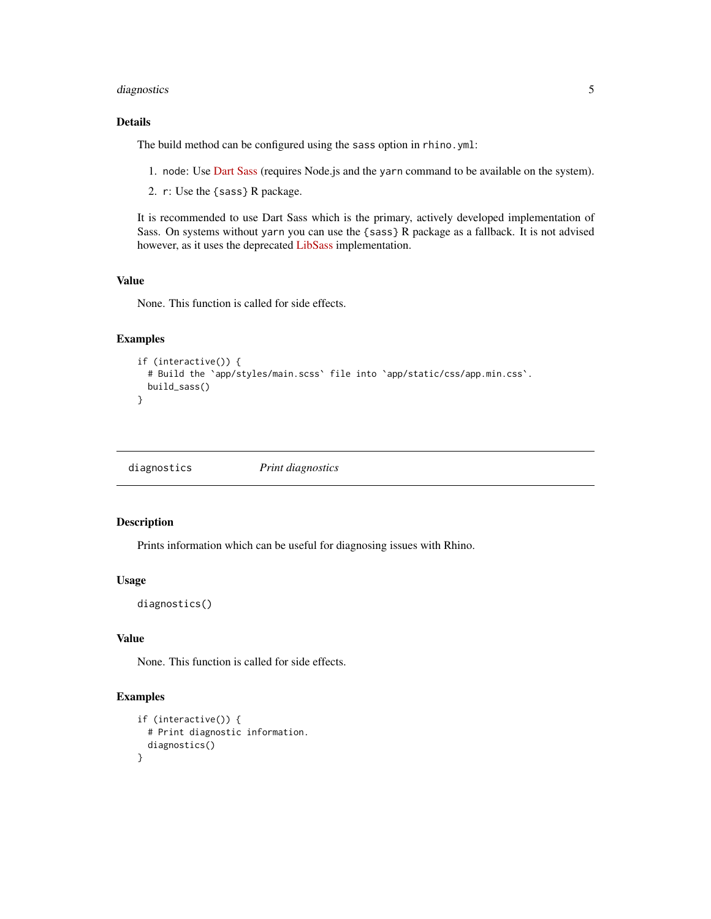#### <span id="page-4-0"></span>diagnostics 5

#### Details

The build method can be configured using the sass option in rhino.yml:

- 1. node: Use [Dart Sass](https://sass-lang.com/dart-sass) (requires Node.js and the yarn command to be available on the system).
- 2. r: Use the {sass} R package.

It is recommended to use Dart Sass which is the primary, actively developed implementation of Sass. On systems without yarn you can use the {sass} R package as a fallback. It is not advised however, as it uses the deprecated [LibSass](https://sass-lang.com/blog/libsass-is-deprecated) implementation.

#### Value

None. This function is called for side effects.

#### Examples

```
if (interactive()) {
 # Build the `app/styles/main.scss` file into `app/static/css/app.min.css`.
 build_sass()
}
```
diagnostics *Print diagnostics*

#### Description

Prints information which can be useful for diagnosing issues with Rhino.

#### Usage

diagnostics()

#### Value

None. This function is called for side effects.

#### Examples

```
if (interactive()) {
 # Print diagnostic information.
 diagnostics()
}
```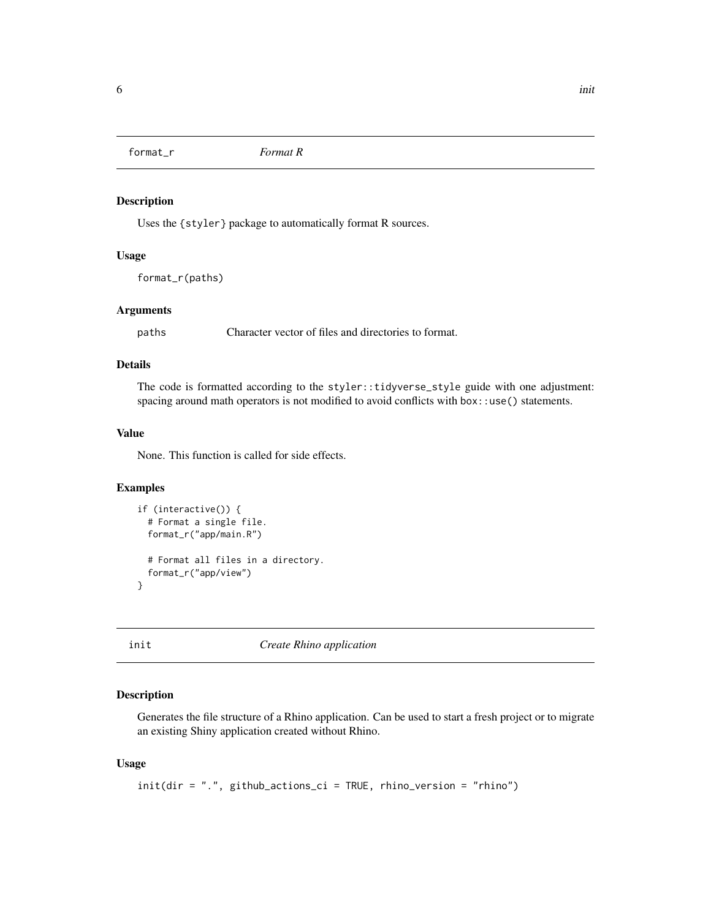<span id="page-5-0"></span>format\_r *Format R*

#### Description

Uses the {styler} package to automatically format R sources.

#### Usage

format\_r(paths)

#### Arguments

paths Character vector of files and directories to format.

#### Details

The code is formatted according to the styler::tidyverse\_style guide with one adjustment: spacing around math operators is not modified to avoid conflicts with box::use() statements.

#### Value

None. This function is called for side effects.

#### Examples

```
if (interactive()) {
 # Format a single file.
 format_r("app/main.R")
 # Format all files in a directory.
 format_r("app/view")
}
```
init *Create Rhino application*

#### Description

Generates the file structure of a Rhino application. Can be used to start a fresh project or to migrate an existing Shiny application created without Rhino.

#### Usage

```
init(dir = ".", github_actions_ci = TRUE, rhino_version = "rhino")
```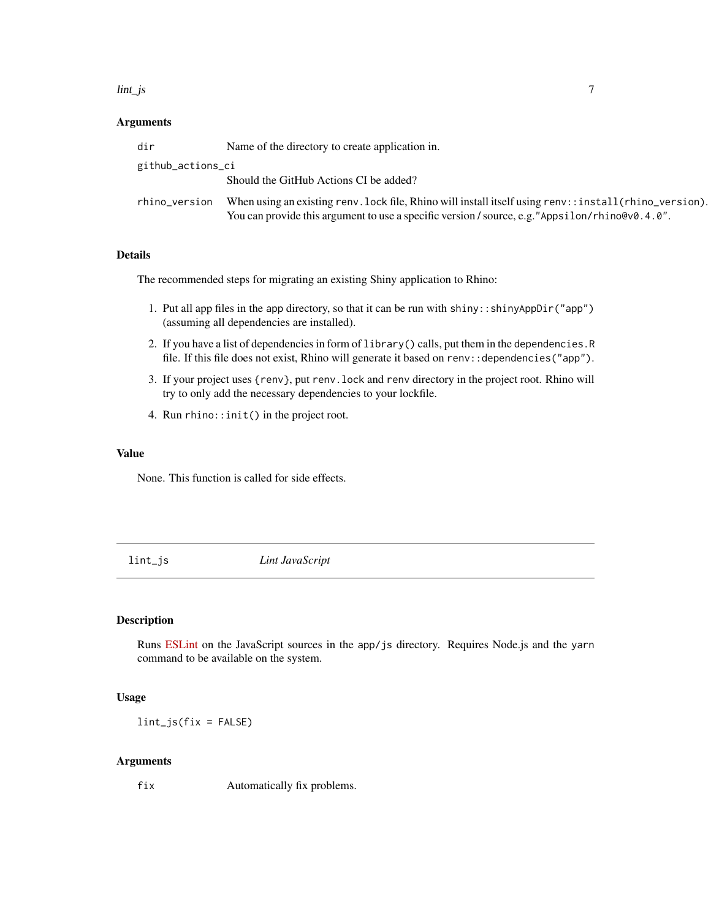#### <span id="page-6-0"></span>lint\_js 7

#### Arguments

| dir               | Name of the directory to create application in.                                                                                                                                                             |
|-------------------|-------------------------------------------------------------------------------------------------------------------------------------------------------------------------------------------------------------|
| github_actions_ci |                                                                                                                                                                                                             |
|                   | Should the GitHub Actions CI be added?                                                                                                                                                                      |
| rhino_version     | When using an existing renv. lock file, Rhino will install itself using renv: : install (rhino_version).<br>You can provide this argument to use a specific version / source, e.g. "Appsilon/rhino@v0.4.0". |

#### Details

The recommended steps for migrating an existing Shiny application to Rhino:

- 1. Put all app files in the app directory, so that it can be run with shiny::shinyAppDir("app") (assuming all dependencies are installed).
- 2. If you have a list of dependencies in form of library() calls, put them in the dependencies.R file. If this file does not exist, Rhino will generate it based on renv::dependencies("app").
- 3. If your project uses {renv}, put renv.lock and renv directory in the project root. Rhino will try to only add the necessary dependencies to your lockfile.
- 4. Run rhino::init() in the project root.

#### Value

None. This function is called for side effects.

lint\_js *Lint JavaScript*

#### Description

Runs [ESLint](https://eslint.org) on the JavaScript sources in the app/js directory. Requires Node.js and the yarn command to be available on the system.

#### Usage

lint\_js(fix = FALSE)

#### Arguments

fix Automatically fix problems.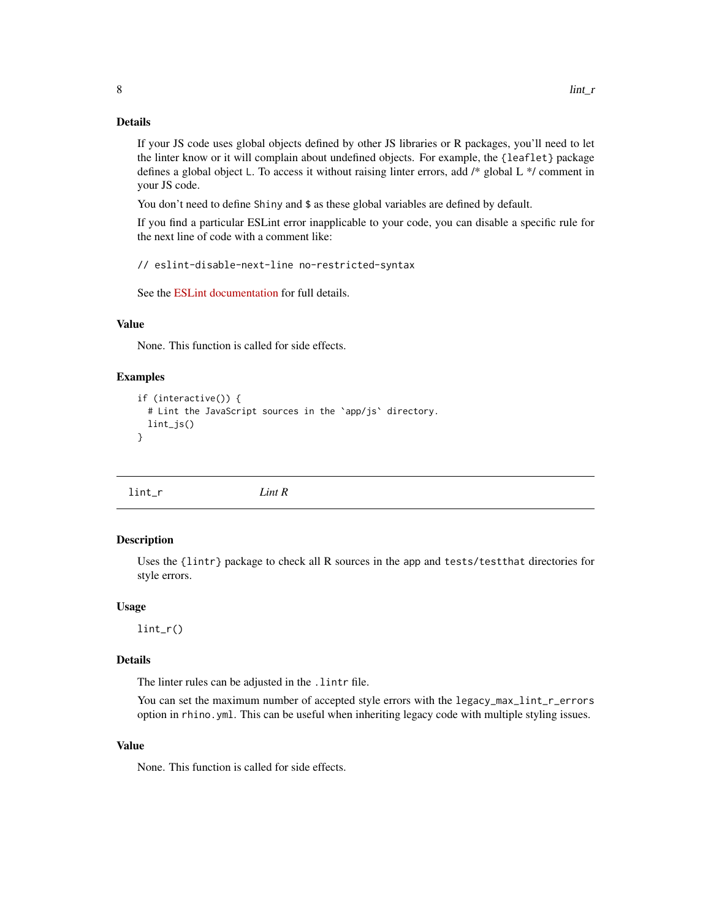#### <span id="page-7-0"></span>Details

If your JS code uses global objects defined by other JS libraries or R packages, you'll need to let the linter know or it will complain about undefined objects. For example, the {leaflet} package defines a global object L. To access it without raising linter errors, add /\* global L \*/ comment in your JS code.

You don't need to define Shiny and \$ as these global variables are defined by default.

If you find a particular ESLint error inapplicable to your code, you can disable a specific rule for the next line of code with a comment like:

// eslint-disable-next-line no-restricted-syntax

See the [ESLint documentation](https://eslint.org/docs/user-guide/configuring/rules#using-configuration-comments-1) for full details.

#### Value

None. This function is called for side effects.

#### Examples

```
if (interactive()) {
 # Lint the JavaScript sources in the `app/js` directory.
 lint_js()
}
```
lint\_r *Lint R*

#### Description

Uses the {lintr} package to check all R sources in the app and tests/testthat directories for style errors.

#### Usage

lint\_r()

#### Details

The linter rules can be adjusted in the .lintr file.

You can set the maximum number of accepted style errors with the legacy\_max\_lint\_r\_errors option in rhino.yml. This can be useful when inheriting legacy code with multiple styling issues.

#### Value

None. This function is called for side effects.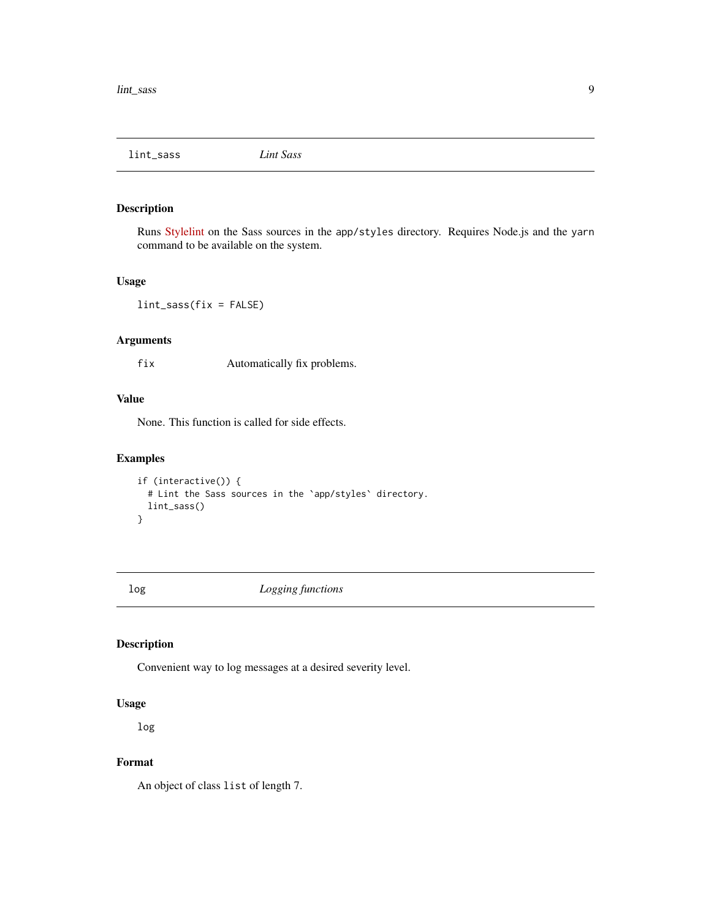<span id="page-8-0"></span>lint\_sass *Lint Sass*

#### Description

Runs [Stylelint](https://stylelint.io/) on the Sass sources in the app/styles directory. Requires Node.js and the yarn command to be available on the system.

#### Usage

lint\_sass(fix = FALSE)

#### Arguments

fix Automatically fix problems.

#### Value

None. This function is called for side effects.

#### Examples

```
if (interactive()) {
  # Lint the Sass sources in the `app/styles` directory.
  lint_sass()
}
```
log *Logging functions*

#### Description

Convenient way to log messages at a desired severity level.

#### Usage

log

#### Format

An object of class list of length 7.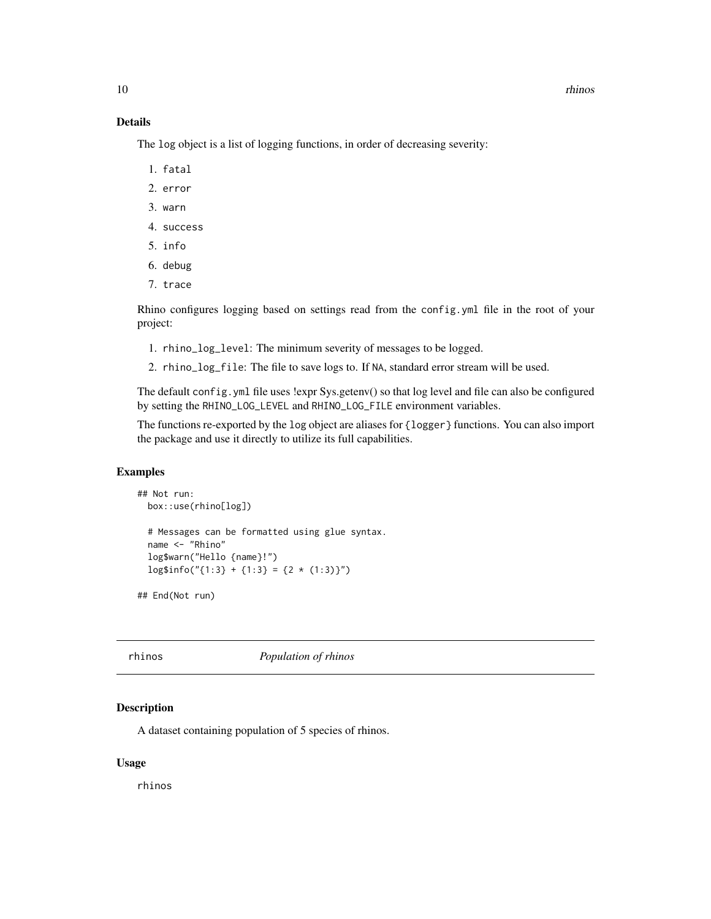#### <span id="page-9-0"></span>Details

The log object is a list of logging functions, in order of decreasing severity:

- 1. fatal
- 2. error
- 3. warn
- 4. success
- 5. info
- 6. debug
- 7. trace

Rhino configures logging based on settings read from the config.yml file in the root of your project:

- 1. rhino\_log\_level: The minimum severity of messages to be logged.
- 2. rhino\_log\_file: The file to save logs to. If NA, standard error stream will be used.

The default config.yml file uses !expr Sys.getenv() so that log level and file can also be configured by setting the RHINO\_LOG\_LEVEL and RHINO\_LOG\_FILE environment variables.

The functions re-exported by the log object are aliases for {logger} functions. You can also import the package and use it directly to utilize its full capabilities.

#### Examples

```
## Not run:
  box::use(rhino[log])
  # Messages can be formatted using glue syntax.
  name <- "Rhino"
  log$warn("Hello {name}!")
  \log \frac{\frac{\pi}{3}}{\frac{1}{3} + \frac{1}{3} = \{2 \times (1:3)\}''}
```
## End(Not run)

rhinos *Population of rhinos*

#### Description

A dataset containing population of 5 species of rhinos.

#### Usage

rhinos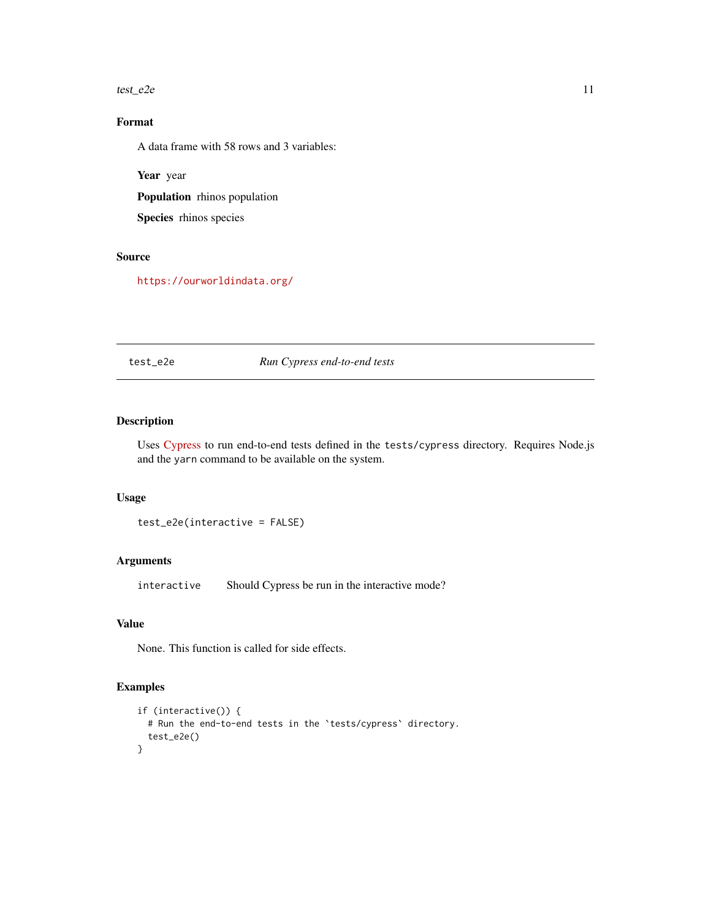#### <span id="page-10-0"></span>test\_e2e  $11$

#### Format

A data frame with 58 rows and 3 variables:

Year year

Population rhinos population

Species rhinos species

#### Source

<https://ourworldindata.org/>

#### test\_e2e *Run Cypress end-to-end tests*

#### Description

Uses [Cypress](https://www.cypress.io/) to run end-to-end tests defined in the tests/cypress directory. Requires Node.js and the yarn command to be available on the system.

#### Usage

test\_e2e(interactive = FALSE)

#### Arguments

interactive Should Cypress be run in the interactive mode?

#### Value

None. This function is called for side effects.

#### Examples

```
if (interactive()) {
  # Run the end-to-end tests in the `tests/cypress` directory.
  test_e2e()
}
```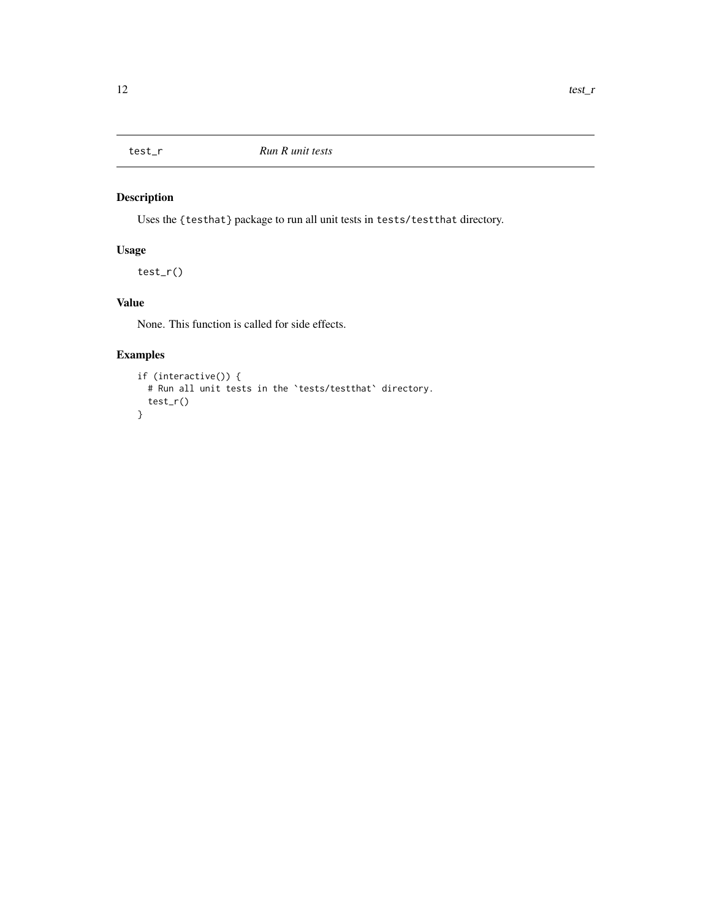<span id="page-11-0"></span>

#### Description

Uses the {testhat} package to run all unit tests in tests/testthat directory.

#### Usage

test\_r()

#### Value

None. This function is called for side effects.

#### Examples

```
if (interactive()) {
  # Run all unit tests in the `tests/testthat` directory.
  test_r()
}
```